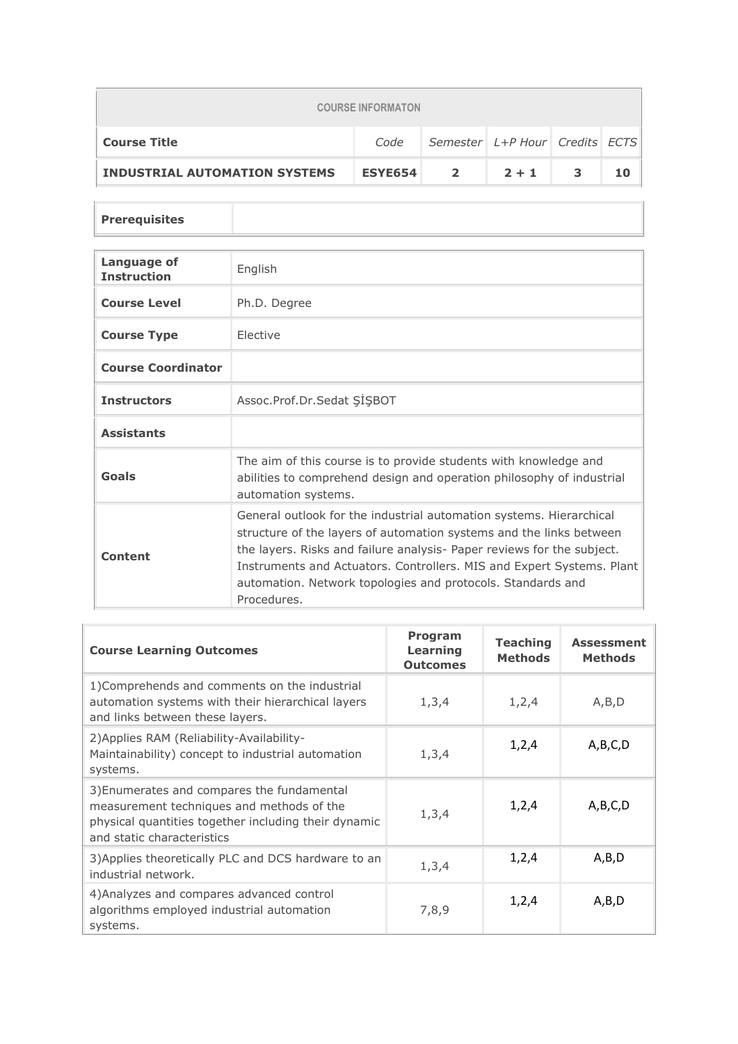| <b>COURSE INFORMATON</b>             |                |                                      |         |   |    |
|--------------------------------------|----------------|--------------------------------------|---------|---|----|
| <b>Course Title</b>                  | Code           | Semester   L+P Hour   Credits   ECTS |         |   |    |
| <b>INDUSTRIAL AUTOMATION SYSTEMS</b> | <b>ESYE654</b> | $\mathbf{2}$                         | $2 + 1$ | 3 | 10 |

## **Prerequisites**

| Language of<br><b>Instruction</b> | English                                                                                                                                                                                                                                                                                                                                                                     |
|-----------------------------------|-----------------------------------------------------------------------------------------------------------------------------------------------------------------------------------------------------------------------------------------------------------------------------------------------------------------------------------------------------------------------------|
| <b>Course Level</b>               | Ph.D. Degree                                                                                                                                                                                                                                                                                                                                                                |
| <b>Course Type</b>                | <b>Flective</b>                                                                                                                                                                                                                                                                                                                                                             |
| <b>Course Coordinator</b>         |                                                                                                                                                                                                                                                                                                                                                                             |
| <b>Instructors</b>                | Assoc.Prof.Dr.Sedat SISBOT                                                                                                                                                                                                                                                                                                                                                  |
| <b>Assistants</b>                 |                                                                                                                                                                                                                                                                                                                                                                             |
| Goals                             | The aim of this course is to provide students with knowledge and<br>abilities to comprehend design and operation philosophy of industrial<br>automation systems.                                                                                                                                                                                                            |
| Content                           | General outlook for the industrial automation systems. Hierarchical<br>structure of the layers of automation systems and the links between<br>the layers. Risks and failure analysis- Paper reviews for the subject.<br>Instruments and Actuators. Controllers. MIS and Expert Systems. Plant<br>automation. Network topologies and protocols. Standards and<br>Procedures. |

| <b>Course Learning Outcomes</b>                                                                                                                                               | Program<br>Learning<br><b>Outcomes</b> | <b>Teaching</b><br><b>Methods</b> | <b>Assessment</b><br><b>Methods</b> |
|-------------------------------------------------------------------------------------------------------------------------------------------------------------------------------|----------------------------------------|-----------------------------------|-------------------------------------|
| 1) Comprehends and comments on the industrial<br>automation systems with their hierarchical layers<br>and links between these layers.                                         | 1, 3, 4                                | 1, 2, 4                           | A, B, D                             |
| 2) Applies RAM (Reliability-Availability-<br>Maintainability) concept to industrial automation<br>systems.                                                                    | 1, 3, 4                                | 1,2,4                             | A,B,C,D                             |
| 3) Enumerates and compares the fundamental<br>measurement techniques and methods of the<br>physical quantities together including their dynamic<br>and static characteristics | 1, 3, 4                                | 1,2,4                             | A,B,C,D                             |
| 3) Applies theoretically PLC and DCS hardware to an<br>industrial network.                                                                                                    | 1, 3, 4                                | 1,2,4                             | A,B,D                               |
| 4) Analyzes and compares advanced control<br>algorithms employed industrial automation<br>systems.                                                                            | 7,8,9                                  | 1,2,4                             | A,B,D                               |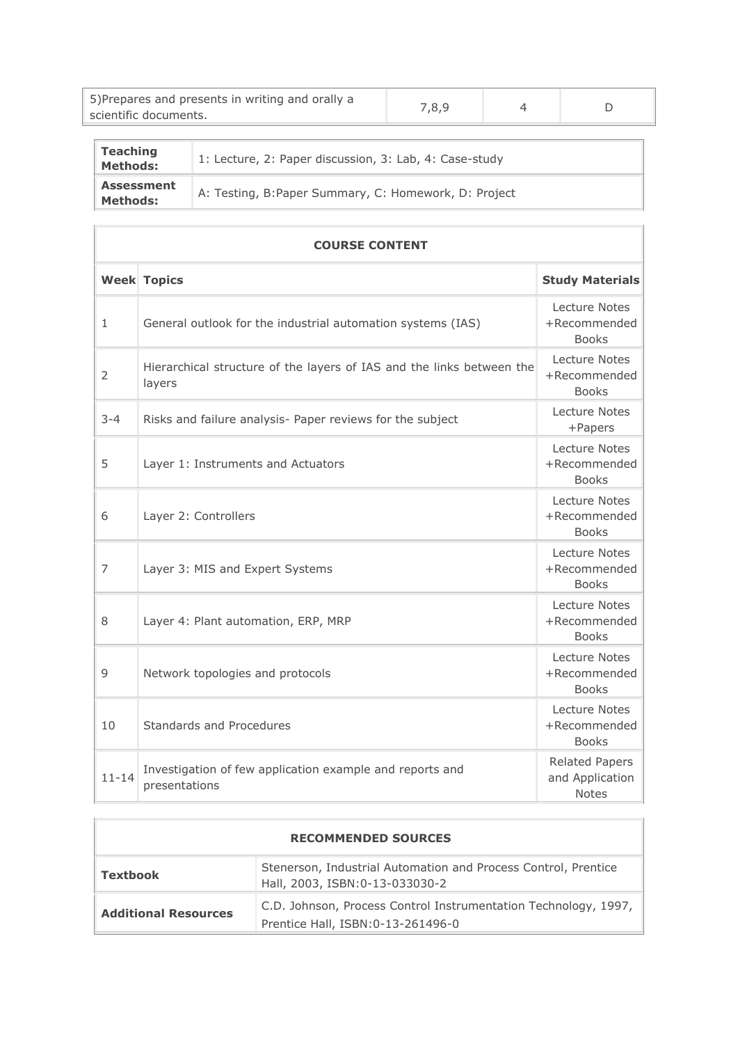| 5) Prepares and presents in writing and orally a<br>scientific documents. | 7,8,9 |  |
|---------------------------------------------------------------------------|-------|--|
|                                                                           |       |  |

| <b>Teaching</b><br>Methods:          | 1: Lecture, 2: Paper discussion, 3: Lab, 4: Case-study |
|--------------------------------------|--------------------------------------------------------|
| <b>Assessment</b><br><b>Methods:</b> | A: Testing, B: Paper Summary, C: Homework, D: Project  |

 $\overline{\phantom{a}}$ 

 $\overline{\phantom{a}}$ 

|                | <b>COURSE CONTENT</b>                                                           |                                                          |  |  |  |
|----------------|---------------------------------------------------------------------------------|----------------------------------------------------------|--|--|--|
|                | <b>Week Topics</b>                                                              | <b>Study Materials</b>                                   |  |  |  |
| $\mathbf{1}$   | General outlook for the industrial automation systems (IAS)                     | Lecture Notes<br>+Recommended<br><b>Books</b>            |  |  |  |
| $\overline{2}$ | Hierarchical structure of the layers of IAS and the links between the<br>layers | Lecture Notes<br>+Recommended<br><b>Books</b>            |  |  |  |
| $3 - 4$        | Risks and failure analysis- Paper reviews for the subject                       | Lecture Notes<br>+Papers                                 |  |  |  |
| 5              | Layer 1: Instruments and Actuators                                              | Lecture Notes<br>+Recommended<br><b>Books</b>            |  |  |  |
| 6              | Layer 2: Controllers                                                            | Lecture Notes<br>+Recommended<br><b>Books</b>            |  |  |  |
| $\overline{7}$ | Layer 3: MIS and Expert Systems                                                 | Lecture Notes<br>+Recommended<br><b>Books</b>            |  |  |  |
| 8              | Layer 4: Plant automation, ERP, MRP                                             | Lecture Notes<br>+Recommended<br><b>Books</b>            |  |  |  |
| 9              | Network topologies and protocols                                                | Lecture Notes<br>+Recommended<br><b>Books</b>            |  |  |  |
| 10             | Standards and Procedures                                                        | Lecture Notes<br>+Recommended<br><b>Books</b>            |  |  |  |
| $11 - 14$      | Investigation of few application example and reports and<br>presentations       | <b>Related Papers</b><br>and Application<br><b>Notes</b> |  |  |  |

| <b>RECOMMENDED SOURCES</b>  |                                                                                                       |  |  |
|-----------------------------|-------------------------------------------------------------------------------------------------------|--|--|
| Textbook                    | Stenerson, Industrial Automation and Process Control, Prentice<br>Hall, 2003, ISBN:0-13-033030-2      |  |  |
| <b>Additional Resources</b> | C.D. Johnson, Process Control Instrumentation Technology, 1997,<br>Prentice Hall, ISBN: 0-13-261496-0 |  |  |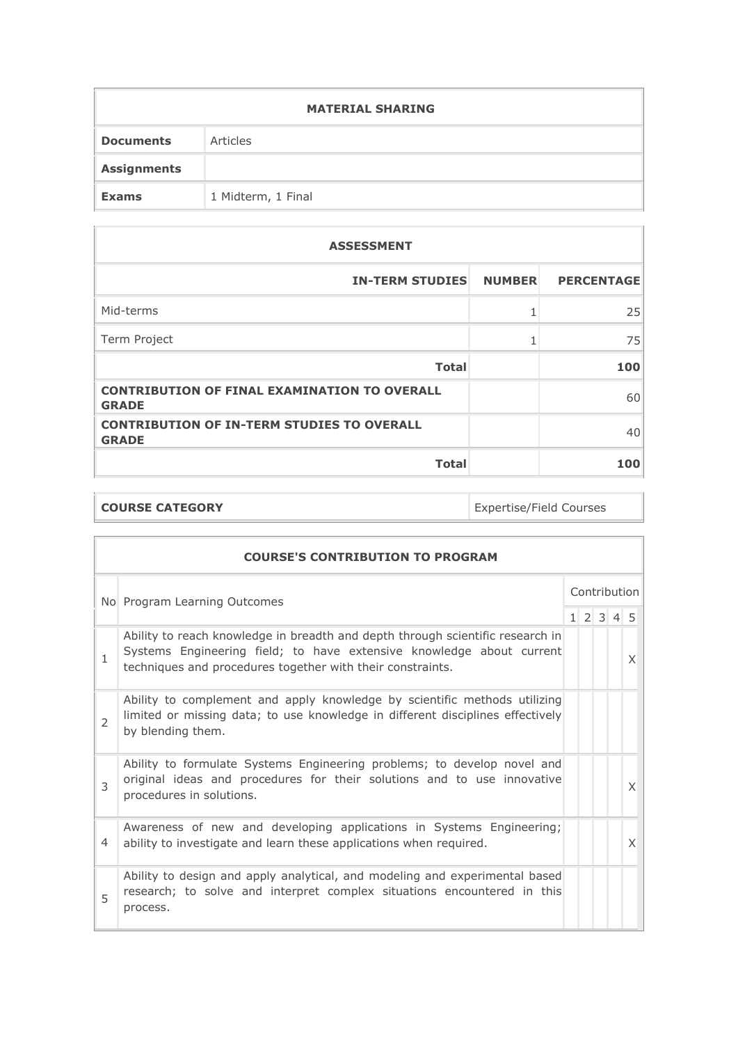| <b>MATERIAL SHARING</b> |                    |  |  |
|-------------------------|--------------------|--|--|
| <b>Documents</b>        | Articles           |  |  |
| <b>Assignments</b>      |                    |  |  |
| <b>Exams</b>            | 1 Midterm, 1 Final |  |  |

| <b>ASSESSMENT</b>                                                   |                   |
|---------------------------------------------------------------------|-------------------|
| <b>IN-TERM STUDIES NUMBER</b>                                       | <b>PERCENTAGE</b> |
| Mid-terms                                                           | 25                |
| Term Project                                                        | 75                |
| <b>Total</b>                                                        | 100               |
| <b>CONTRIBUTION OF FINAL EXAMINATION TO OVERALL</b><br><b>GRADE</b> | 60                |
| <b>CONTRIBUTION OF IN-TERM STUDIES TO OVERALL</b><br><b>GRADE</b>   | 40                |
| <b>Total</b>                                                        | 100               |

| <b>COURSE CATEGORY</b> | <b>Expertise/Field Courses</b> |
|------------------------|--------------------------------|
|                        |                                |

|                              | <b>COURSE'S CONTRIBUTION TO PROGRAM</b>                                                                                                                                                                              |              |  |  |                     |   |
|------------------------------|----------------------------------------------------------------------------------------------------------------------------------------------------------------------------------------------------------------------|--------------|--|--|---------------------|---|
| No Program Learning Outcomes |                                                                                                                                                                                                                      | Contribution |  |  |                     |   |
|                              |                                                                                                                                                                                                                      |              |  |  | $1 \t2 \t3 \t4 \t5$ |   |
| $\mathbf{1}$                 | Ability to reach knowledge in breadth and depth through scientific research in<br>Systems Engineering field; to have extensive knowledge about current<br>techniques and procedures together with their constraints. |              |  |  |                     | X |
| 2                            | Ability to complement and apply knowledge by scientific methods utilizing<br>limited or missing data; to use knowledge in different disciplines effectively<br>by blending them.                                     |              |  |  |                     |   |
| $\mathcal{L}$                | Ability to formulate Systems Engineering problems; to develop novel and<br>original ideas and procedures for their solutions and to use innovative<br>procedures in solutions.                                       |              |  |  |                     | X |
| 4                            | Awareness of new and developing applications in Systems Engineering;<br>ability to investigate and learn these applications when required.                                                                           |              |  |  |                     | X |
| 5                            | Ability to design and apply analytical, and modeling and experimental based<br>research; to solve and interpret complex situations encountered in this<br>process.                                                   |              |  |  |                     |   |